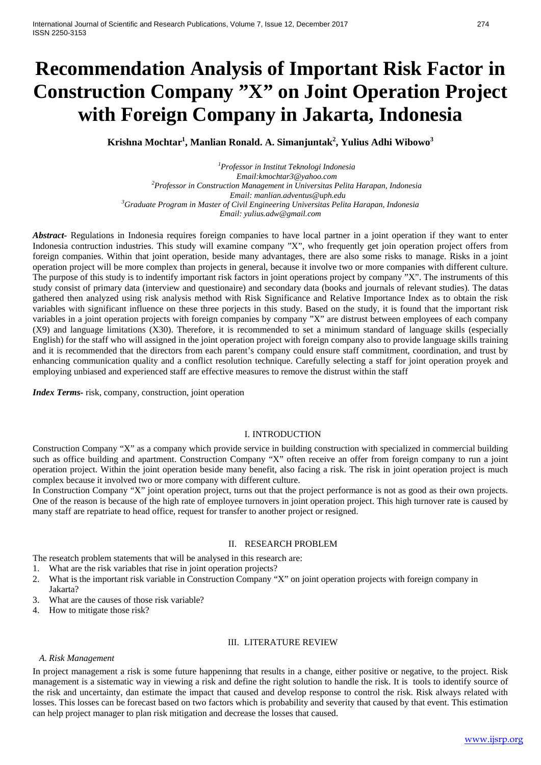# **Recommendation Analysis of Important Risk Factor in Construction Company "X" on Joint Operation Project with Foreign Company in Jakarta, Indonesia**

**Krishna Mochtar1 , Manlian Ronald. A. Simanjuntak<sup>2</sup> , Yulius Adhi Wibowo<sup>3</sup>**

*1 Professor in Institut Teknologi Indonesia Email:kmochtar3@yahoo.com <sup>2</sup> Professor in Construction Management in Universitas Pelita Harapan, Indonesia Email: manlian.adventus@uph.edu <sup>3</sup> Graduate Program in Master of Civil Engineering Universitas Pelita Harapan, Indonesia Email: yulius.adw@gmail.com*

*Abstract-* Regulations in Indonesia requires foreign companies to have local partner in a joint operation if they want to enter Indonesia contruction industries. This study will examine company "X", who frequently get join operation project offers from foreign companies. Within that joint operation, beside many advantages, there are also some risks to manage. Risks in a joint operation project will be more complex than projects in general, because it involve two or more companies with different culture. The purpose of this study is to indentify important risk factors in joint operations project by company "X". The instruments of this study consist of primary data (interview and questionaire) and secondary data (books and journals of relevant studies). The datas gathered then analyzed using risk analysis method with Risk Significance and Relative Importance Index as to obtain the risk variables with significant influence on these three porjects in this study. Based on the study, it is found that the important risk variables in a joint operation projects with foreign companies by company "X" are distrust between employees of each company (X9) and language limitations (X30). Therefore, it is recommended to set a minimum standard of language skills (especially English) for the staff who will assigned in the joint operation project with foreign company also to provide language skills training and it is recommended that the directors from each parent's company could ensure staff commitment, coordination, and trust by enhancing communication quality and a conflict resolution technique. Carefully selecting a staff for joint operation proyek and employing unbiased and experienced staff are effective measures to remove the distrust within the staff

*Index Terms-* risk, company, construction, joint operation

## I. INTRODUCTION

Construction Company "X" as a company which provide service in building construction with specialized in commercial building such as office building and apartment. Construction Company "X" often receive an offer from foreign company to run a joint operation project. Within the joint operation beside many benefit, also facing a risk. The risk in joint operation project is much complex because it involved two or more company with different culture.

In Construction Company "X" joint operation project, turns out that the project performance is not as good as their own projects. One of the reason is because of the high rate of employee turnovers in joint operation project. This high turnover rate is caused by many staff are repatriate to head office, request for transfer to another project or resigned.

#### II. RESEARCH PROBLEM

The reseatch problem statements that will be analysed in this research are:

- 1. What are the risk variables that rise in joint operation projects?
- 2. What is the important risk variable in Construction Company "X" on joint operation projects with foreign company in Jakarta?
- 3. What are the causes of those risk variable?
- 4. How to mitigate those risk?

#### III. LITERATURE REVIEW

#### *A. Risk Management*

In project management a risk is some future happeninng that results in a change, either positive or negative, to the project. Risk management is a sistematic way in viewing a risk and define the right solution to handle the risk. It is tools to identify source of the risk and uncertainty, dan estimate the impact that caused and develop response to control the risk. Risk always related with losses. This losses can be forecast based on two factors which is probability and severity that caused by that event. This estimation can help project manager to plan risk mitigation and decrease the losses that caused.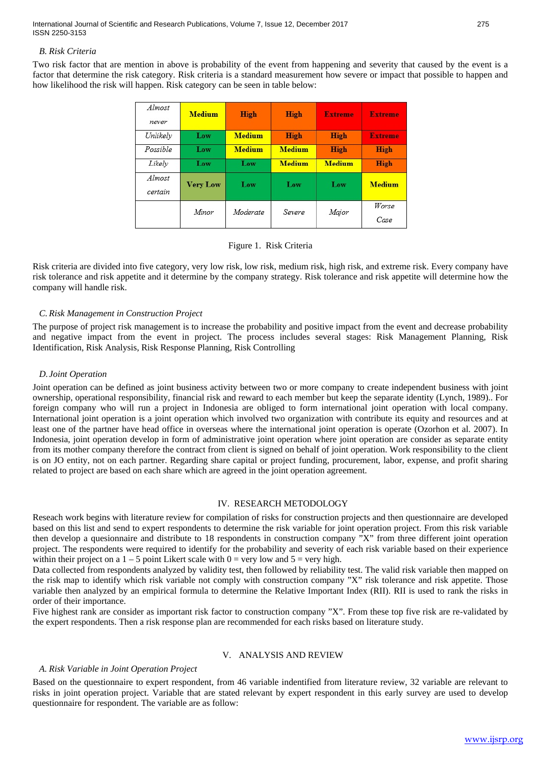International Journal of Scientific and Research Publications, Volume 7, Issue 12, December 2017 275 ISSN 2250-3153

#### *B. Risk Criteria*

Two risk factor that are mention in above is probability of the event from happening and severity that caused by the event is a factor that determine the risk category. Risk criteria is a standard measurement how severe or impact that possible to happen and how likelihood the risk will happen. Risk category can be seen in table below:

| Almost<br>never   | <b>Medium</b>   | <b>High</b>   | <b>High</b>   | <b>Extreme</b> | <b>Extreme</b> |
|-------------------|-----------------|---------------|---------------|----------------|----------------|
| Unlikelv          | Low             | <b>Medium</b> | <b>High</b>   | <b>High</b>    | <b>Extreme</b> |
| Possible          | Low             | <b>Medium</b> | <b>Medium</b> | <b>High</b>    | <b>High</b>    |
| Likely            | Low             | Low           | <b>Medium</b> | <b>Medium</b>  | <b>High</b>    |
| Almost<br>certain | <b>Very Low</b> | Low           | Low           | Low            | <b>Medium</b>  |
|                   | Minor           | Moderate      | Severe        | Major          | Worse<br>Case  |

## Figure 1. Risk Criteria

Risk criteria are divided into five category, very low risk, low risk, medium risk, high risk, and extreme risk. Every company have risk tolerance and risk appetite and it determine by the company strategy. Risk tolerance and risk appetite will determine how the company will handle risk.

## *C. Risk Management in Construction Project*

The purpose of project risk management is to increase the probability and positive impact from the event and decrease probability and negative impact from the event in project. The process includes several stages: Risk Management Planning, Risk Identification, Risk Analysis, Risk Response Planning, Risk Controlling

#### *D.Joint Operation*

Joint operation can be defined as joint business activity between two or more company to create independent business with joint ownership, operational responsibility, financial risk and reward to each member but keep the separate identity (Lynch, 1989).. For foreign company who will run a project in Indonesia are obliged to form international joint operation with local company. International joint operation is a joint operation which involved two organization with contribute its equity and resources and at least one of the partner have head office in overseas where the international joint operation is operate (Ozorhon et al. 2007). In Indonesia, joint operation develop in form of administrative joint operation where joint operation are consider as separate entity from its mother company therefore the contract from client is signed on behalf of joint operation. Work responsibility to the client is on JO entity, not on each partner. Regarding share capital or project funding, procurement, labor, expense, and profit sharing related to project are based on each share which are agreed in the joint operation agreement.

## IV. RESEARCH METODOLOGY

Reseach work begins with literature review for compilation of risks for construction projects and then questionnaire are developed based on this list and send to expert respondents to determine the risk variable for joint operation project. From this risk variable then develop a quesionnaire and distribute to 18 respondents in construction company "X" from three different joint operation project. The respondents were required to identify for the probability and severity of each risk variable based on their experience within their project on a  $1 - 5$  point Likert scale with  $0 = \text{very low and } 5 = \text{very high.}$ 

Data collected from respondents analyzed by validity test, then followed by reliability test. The valid risk variable then mapped on the risk map to identify which risk variable not comply with construction company "X" risk tolerance and risk appetite. Those variable then analyzed by an empirical formula to determine the Relative Important Index (RII). RII is used to rank the risks in order of their importance.

Five highest rank are consider as important risk factor to construction company "X". From these top five risk are re-validated by the expert respondents. Then a risk response plan are recommended for each risks based on literature study.

#### V. ANALYSIS AND REVIEW

## *A. Risk Variable in Joint Operation Project*

Based on the questionnaire to expert respondent, from 46 variable indentified from literature review, 32 variable are relevant to risks in joint operation project. Variable that are stated relevant by expert respondent in this early survey are used to develop questionnaire for respondent. The variable are as follow: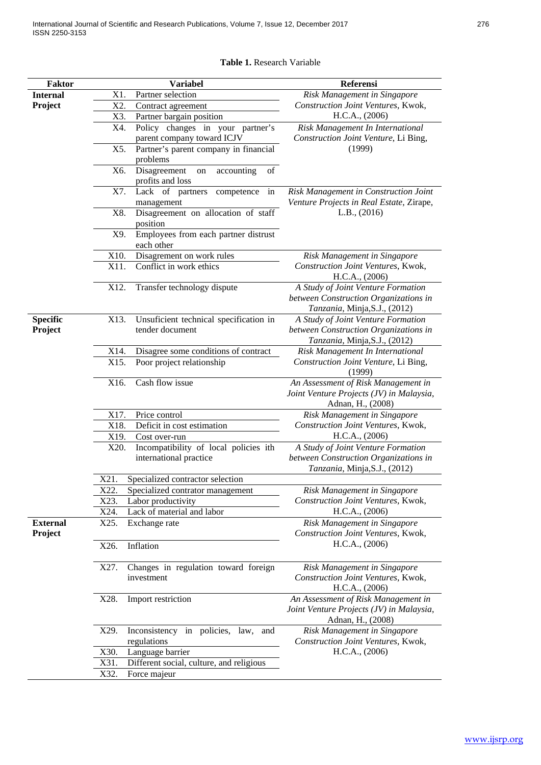|  |  | ×<br>I |
|--|--|--------|
|--|--|--------|

# **Table 1.** Research Variable

| <b>Faktor</b>              | <b>Variabel</b>                                                         | Referensi                                                                                                    |
|----------------------------|-------------------------------------------------------------------------|--------------------------------------------------------------------------------------------------------------|
| <b>Internal</b>            | X1.<br>Partner selection                                                | Risk Management in Singapore                                                                                 |
| Project                    | X2.<br>Contract agreement                                               | Construction Joint Ventures, Kwok,                                                                           |
|                            | Partner bargain position<br>X3.                                         | H.C.A., (2006)                                                                                               |
|                            | X4.<br>Policy changes in your partner's<br>parent company toward ICJV   | Risk Management In International<br>Construction Joint Venture, Li Bing,                                     |
|                            | X5.<br>Partner's parent company in financial<br>problems                | (1999)                                                                                                       |
|                            | Disagreement<br>X6.<br>of<br>accounting<br>on<br>profits and loss       |                                                                                                              |
|                            | X7.<br>Lack of partners competence<br>in<br>management                  | Risk Management in Construction Joint<br>Venture Projects in Real Estate, Zirape,                            |
|                            | Disagreement on allocation of staff<br>X8.<br>position                  | L.B., (2016)                                                                                                 |
|                            | Employees from each partner distrust<br>X9.<br>each other               |                                                                                                              |
|                            | X10.<br>Disagrement on work rules                                       | Risk Management in Singapore                                                                                 |
|                            | X11.<br>Conflict in work ethics                                         | Construction Joint Ventures, Kwok,<br>H.C.A., (2006)                                                         |
|                            | Transfer technology dispute<br>X12.                                     | A Study of Joint Venture Formation<br>between Construction Organizations in<br>Tanzania, Minja, S.J., (2012) |
| <b>Specific</b><br>Project | X13.<br>Unsuficient technical specification in<br>tender document       | A Study of Joint Venture Formation<br>between Construction Organizations in<br>Tanzania, Minja, S.J., (2012) |
|                            | X14.<br>Disagree some conditions of contract                            | Risk Management In International                                                                             |
|                            | X15.<br>Poor project relationship                                       | Construction Joint Venture, Li Bing,<br>(1999)                                                               |
|                            | Cash flow issue<br>X16.                                                 | An Assessment of Risk Management in<br>Joint Venture Projects (JV) in Malaysia,<br>Adnan, H., (2008)         |
|                            | X17.<br>Price control                                                   | Risk Management in Singapore                                                                                 |
|                            | Deficit in cost estimation<br>X18.                                      | Construction Joint Ventures, Kwok,                                                                           |
|                            | X19.<br>Cost over-run                                                   | H.C.A., (2006)                                                                                               |
|                            | Incompatibility of local policies ith<br>X20.<br>international practice | A Study of Joint Venture Formation<br>between Construction Organizations in<br>Tanzania, Minja, S.J., (2012) |
|                            | X21.<br>Specialized contractor selection                                |                                                                                                              |
|                            | X22.<br>Specialized contrator management                                | Risk Management in Singapore                                                                                 |
|                            | X23.<br>Labor productivity                                              | Construction Joint Ventures, Kwok,                                                                           |
|                            | Lack of material and labor<br>X24.                                      | H.C.A., (2006)                                                                                               |
| <b>External</b><br>Project | X25.<br>Exchange rate                                                   | Risk Management in Singapore<br>Construction Joint Ventures, Kwok,                                           |
|                            | X26.<br>Inflation                                                       | H.C.A., (2006)                                                                                               |
|                            | Changes in regulation toward foreign<br>X27.<br>investment              | Risk Management in Singapore<br>Construction Joint Ventures, Kwok,<br>H.C.A., (2006)                         |
|                            | X28.<br>Import restriction                                              | An Assessment of Risk Management in<br>Joint Venture Projects (JV) in Malaysia,<br>Adnan, H., (2008)         |
|                            | X29.<br>Inconsistency in policies, law,<br>and<br>regulations           | Risk Management in Singapore<br>Construction Joint Ventures, Kwok,                                           |
|                            | Language barrier<br>X30.                                                | H.C.A., (2006)                                                                                               |
|                            | X31.<br>Different social, culture, and religious                        |                                                                                                              |
|                            | X32.<br>Force majeur                                                    |                                                                                                              |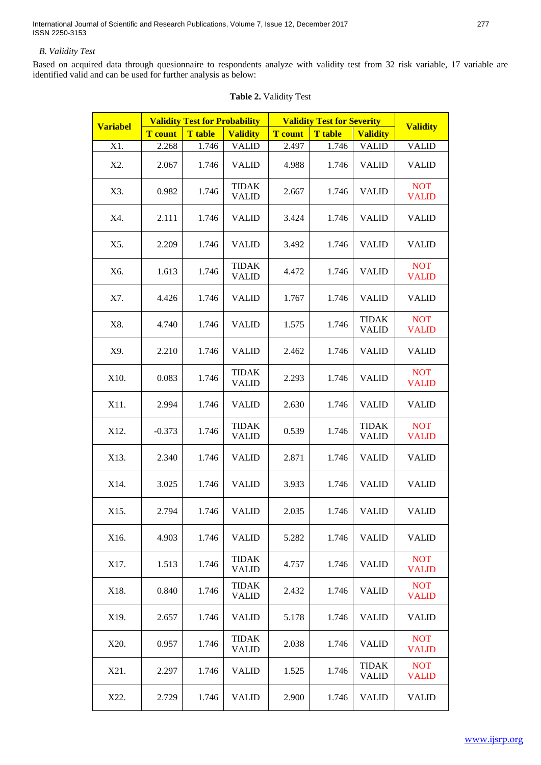# *B. Validity Test*

Based on acquired data through quesionnaire to respondents analyze with validity test from 32 risk variable, 17 variable are identified valid and can be used for further analysis as below:

| <b>Variabel</b> | <b>Validity Test for Probability</b> |                | <b>Validity Test for Severity</b> |                |                | <b>Validity</b>              |                            |
|-----------------|--------------------------------------|----------------|-----------------------------------|----------------|----------------|------------------------------|----------------------------|
|                 | <b>T</b> count                       | <b>T</b> table | <b>Validity</b>                   | <b>T</b> count | <b>T</b> table | <b>Validity</b>              |                            |
| X1.             | 2.268                                | 1.746          | <b>VALID</b>                      | 2.497          | 1.746          | <b>VALID</b>                 | <b>VALID</b>               |
| X2.             | 2.067                                | 1.746          | <b>VALID</b>                      | 4.988          | 1.746          | <b>VALID</b>                 | <b>VALID</b>               |
| X3.             | 0.982                                | 1.746          | <b>TIDAK</b><br><b>VALID</b>      | 2.667          | 1.746          | <b>VALID</b>                 | <b>NOT</b><br><b>VALID</b> |
| X4.             | 2.111                                | 1.746          | <b>VALID</b>                      | 3.424          | 1.746          | <b>VALID</b>                 | <b>VALID</b>               |
| X5.             | 2.209                                | 1.746          | <b>VALID</b>                      | 3.492          | 1.746          | <b>VALID</b>                 | <b>VALID</b>               |
| X6.             | 1.613                                | 1.746          | <b>TIDAK</b><br><b>VALID</b>      | 4.472          | 1.746          | <b>VALID</b>                 | <b>NOT</b><br><b>VALID</b> |
| X7.             | 4.426                                | 1.746          | <b>VALID</b>                      | 1.767          | 1.746          | <b>VALID</b>                 | <b>VALID</b>               |
| X8.             | 4.740                                | 1.746          | <b>VALID</b>                      | 1.575          | 1.746          | <b>TIDAK</b><br><b>VALID</b> | <b>NOT</b><br><b>VALID</b> |
| X9.             | 2.210                                | 1.746          | <b>VALID</b>                      | 2.462          | 1.746          | <b>VALID</b>                 | <b>VALID</b>               |
| X10.            | 0.083                                | 1.746          | <b>TIDAK</b><br><b>VALID</b>      | 2.293          | 1.746          | <b>VALID</b>                 | <b>NOT</b><br><b>VALID</b> |
| X11.            | 2.994                                | 1.746          | <b>VALID</b>                      | 2.630          | 1.746          | <b>VALID</b>                 | <b>VALID</b>               |
| X12.            | $-0.373$                             | 1.746          | <b>TIDAK</b><br><b>VALID</b>      | 0.539          | 1.746          | <b>TIDAK</b><br><b>VALID</b> | <b>NOT</b><br><b>VALID</b> |
| X13.            | 2.340                                | 1.746          | <b>VALID</b>                      | 2.871          | 1.746          | <b>VALID</b>                 | <b>VALID</b>               |
| X14.            | 3.025                                | 1.746          | <b>VALID</b>                      | 3.933          | 1.746          | <b>VALID</b>                 | <b>VALID</b>               |
| X15.            | 2.794                                | 1.746          | <b>VALID</b>                      | 2.035          | 1.746          | <b>VALID</b>                 | <b>VALID</b>               |
| X16.            | 4.903                                | 1.746          | <b>VALID</b>                      | 5.282          | 1.746          | <b>VALID</b>                 | VALID                      |
| X17.            | 1.513                                | 1.746          | <b>TIDAK</b><br><b>VALID</b>      | 4.757          | 1.746          | <b>VALID</b>                 | <b>NOT</b><br><b>VALID</b> |
| X18.            | 0.840                                | 1.746          | <b>TIDAK</b><br><b>VALID</b>      | 2.432          | 1.746          | <b>VALID</b>                 | <b>NOT</b><br><b>VALID</b> |
| X19.            | 2.657                                | 1.746          | <b>VALID</b>                      | 5.178          | 1.746          | <b>VALID</b>                 | <b>VALID</b>               |
| X20.            | 0.957                                | 1.746          | <b>TIDAK</b><br><b>VALID</b>      | 2.038          | 1.746          | <b>VALID</b>                 | <b>NOT</b><br><b>VALID</b> |
| X21.            | 2.297                                | 1.746          | <b>VALID</b>                      | 1.525          | 1.746          | <b>TIDAK</b><br><b>VALID</b> | <b>NOT</b><br><b>VALID</b> |
| X22.            | 2.729                                | 1.746          | <b>VALID</b>                      | 2.900          | 1.746          | <b>VALID</b>                 | <b>VALID</b>               |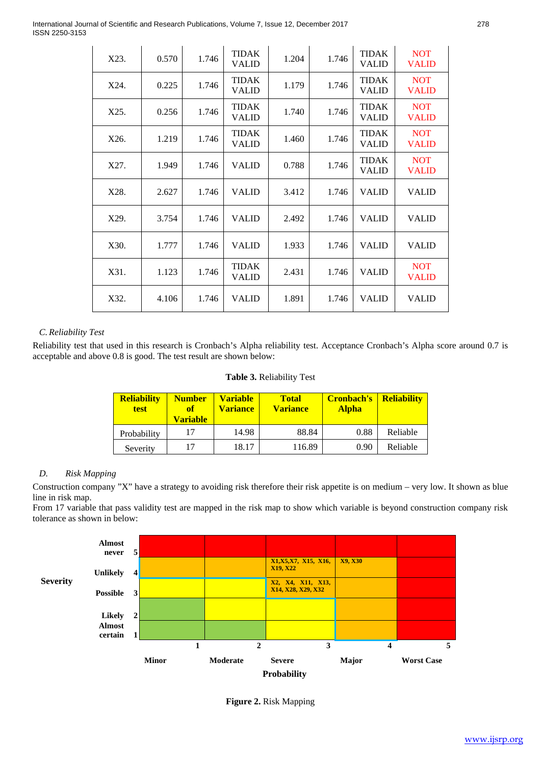International Journal of Scientific and Research Publications, Volume 7, Issue 12, December 2017 278 ISSN 2250-3153

| X23. | 0.570 | 1.746 | <b>TIDAK</b><br><b>VALID</b> | 1.204 | 1.746 | <b>TIDAK</b><br><b>VALID</b> | <b>NOT</b><br><b>VALID</b> |
|------|-------|-------|------------------------------|-------|-------|------------------------------|----------------------------|
| X24. | 0.225 | 1.746 | <b>TIDAK</b><br><b>VALID</b> | 1.179 | 1.746 | <b>TIDAK</b><br><b>VALID</b> | <b>NOT</b><br><b>VALID</b> |
| X25. | 0.256 | 1.746 | <b>TIDAK</b><br><b>VALID</b> | 1.740 | 1.746 | <b>TIDAK</b><br><b>VALID</b> | <b>NOT</b><br><b>VALID</b> |
| X26. | 1.219 | 1.746 | <b>TIDAK</b><br><b>VALID</b> | 1.460 | 1.746 | <b>TIDAK</b><br><b>VALID</b> | <b>NOT</b><br><b>VALID</b> |
| X27. | 1.949 | 1.746 | <b>VALID</b>                 | 0.788 | 1.746 | <b>TIDAK</b><br><b>VALID</b> | <b>NOT</b><br><b>VALID</b> |
| X28. | 2.627 | 1.746 | <b>VALID</b>                 | 3.412 | 1.746 | <b>VALID</b>                 | <b>VALID</b>               |
| X29. | 3.754 | 1.746 | <b>VALID</b>                 | 2.492 | 1.746 | <b>VALID</b>                 | <b>VALID</b>               |
| X30. | 1.777 | 1.746 | <b>VALID</b>                 | 1.933 | 1.746 | <b>VALID</b>                 | <b>VALID</b>               |
| X31. | 1.123 | 1.746 | <b>TIDAK</b><br><b>VALID</b> | 2.431 | 1.746 | <b>VALID</b>                 | <b>NOT</b><br><b>VALID</b> |
| X32. | 4.106 | 1.746 | <b>VALID</b>                 | 1.891 | 1.746 | <b>VALID</b>                 | <b>VALID</b>               |

# *C. Reliability Test*

Reliability test that used in this research is Cronbach's Alpha reliability test. Acceptance Cronbach's Alpha score around 0.7 is acceptable and above 0.8 is good. The test result are shown below:

| Table 3. Reliability Test |  |  |  |  |
|---------------------------|--|--|--|--|
|---------------------------|--|--|--|--|

| <b>Reliability</b><br><b>test</b> | <b>Number</b><br>of<br><b>Variable</b> | <b>Variable</b><br><b>Variance</b> | <b>Total</b><br><b>Variance</b> | <b>Cronbach's</b><br><b>Alpha</b> | <b>Reliability</b> |
|-----------------------------------|----------------------------------------|------------------------------------|---------------------------------|-----------------------------------|--------------------|
| Probability                       | 17                                     | 14.98                              | 88.84                           | 0.88                              | Reliable           |
| Severity                          | 17                                     | 18.17                              | 116.89                          | 0.90                              | Reliable           |

# *D. Risk Mapping*

Construction company "X" have a strategy to avoiding risk therefore their risk appetite is on medium – very low. It shown as blue line in risk map.

From 17 variable that pass validity test are mapped in the risk map to show which variable is beyond construction company risk tolerance as shown in below:



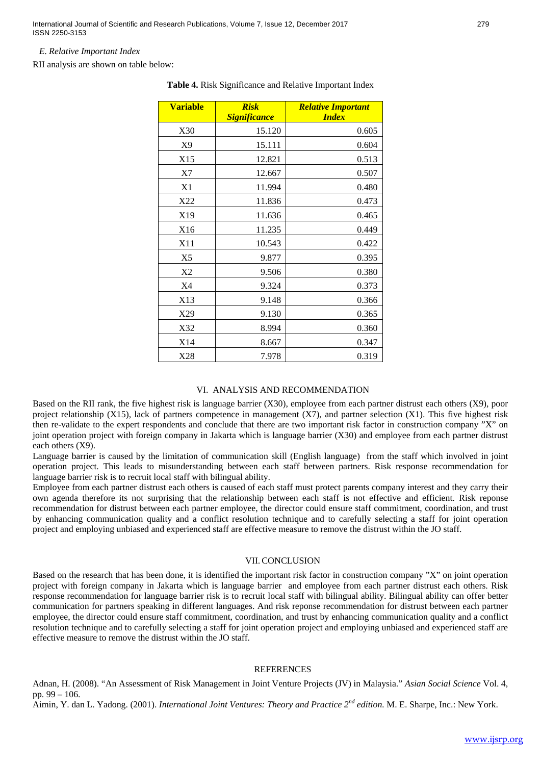International Journal of Scientific and Research Publications, Volume 7, Issue 12, December 2017 279 ISSN 2250-3153

#### *E. Relative Important Index*

RII analysis are shown on table below:

| <b>Variable</b> | <b>Risk</b><br><b>Significance</b> | <b>Relative Important</b><br><b>Index</b> |
|-----------------|------------------------------------|-------------------------------------------|
| X30             | 15.120                             | 0.605                                     |
| X9              | 15.111                             | 0.604                                     |
| X15             | 12.821                             | 0.513                                     |
| X7              | 12.667                             | 0.507                                     |
| X1              | 11.994                             | 0.480                                     |
| X22             | 11.836                             | 0.473                                     |
| X19             | 11.636                             | 0.465                                     |
| X16             | 11.235                             | 0.449                                     |
| X11             | 10.543                             | 0.422                                     |
| X5              | 9.877                              | 0.395                                     |
| X <sub>2</sub>  | 9.506                              | 0.380                                     |
| X4              | 9.324                              | 0.373                                     |
| X13             | 9.148                              | 0.366                                     |
| X29             | 9.130                              | 0.365                                     |
| X32             | 8.994                              | 0.360                                     |
| X14             | 8.667                              | 0.347                                     |
| X28             | 7.978                              | 0.319                                     |

**Table 4.** Risk Significance and Relative Important Index

#### VI. ANALYSIS AND RECOMMENDATION

Based on the RII rank, the five highest risk is language barrier (X30), employee from each partner distrust each others (X9), poor project relationship (X15), lack of partners competence in management (X7), and partner selection (X1). This five highest risk then re-validate to the expert respondents and conclude that there are two important risk factor in construction company "X" on joint operation project with foreign company in Jakarta which is language barrier (X30) and employee from each partner distrust each others (X9).

Language barrier is caused by the limitation of communication skill (English language) from the staff which involved in joint operation project. This leads to misunderstanding between each staff between partners. Risk response recommendation for language barrier risk is to recruit local staff with bilingual ability.

Employee from each partner distrust each others is caused of each staff must protect parents company interest and they carry their own agenda therefore its not surprising that the relationship between each staff is not effective and efficient. Risk reponse recommendation for distrust between each partner employee, the director could ensure staff commitment, coordination, and trust by enhancing communication quality and a conflict resolution technique and to carefully selecting a staff for joint operation project and employing unbiased and experienced staff are effective measure to remove the distrust within the JO staff.

## VII.CONCLUSION

Based on the research that has been done, it is identified the important risk factor in construction company "X" on joint operation project with foreign company in Jakarta which is language barrier and employee from each partner distrust each others. Risk response recommendation for language barrier risk is to recruit local staff with bilingual ability. Bilingual ability can offer better communication for partners speaking in different languages. And risk reponse recommendation for distrust between each partner employee, the director could ensure staff commitment, coordination, and trust by enhancing communication quality and a conflict resolution technique and to carefully selecting a staff for joint operation project and employing unbiased and experienced staff are effective measure to remove the distrust within the JO staff.

#### REFERENCES

Adnan, H. (2008). "An Assessment of Risk Management in Joint Venture Projects (JV) in Malaysia." *Asian Social Science* Vol. 4, pp. 99 – 106.

Aimin, Y. dan L. Yadong. (2001). *International Joint Ventures: Theory and Practice 2<sup>nd</sup> edition.* M. E. Sharpe, Inc.: New York.